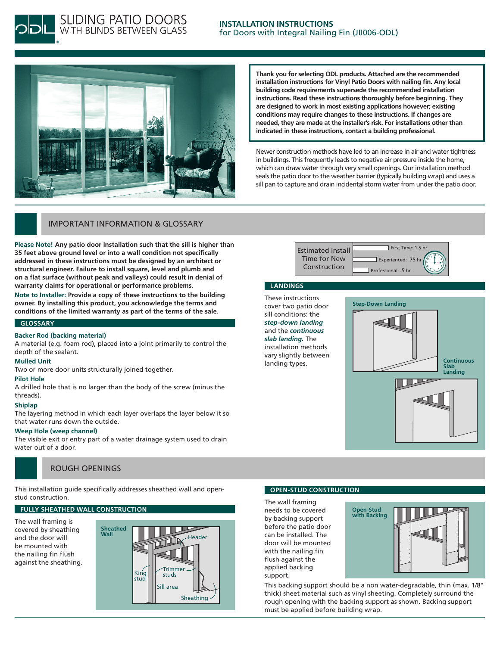



**SLIDING PATIO DOORS**<br>WITH BLINDS BETWEEN GLASS

**Thank you for selecting ODL products. Attached are the recommended installation instructions for Vinyl Patio Doors with nailing fin. Any local building code requirements supersede the recommended installation instructions. Read these instructions thoroughly before beginning. They are designed to work in most existing applications however; existing conditions may require changes to these instructions. If changes are needed, they are made at the installer's risk. For installations other than indicated in these instructions, contact a building professional.**

Newer construction methods have led to an increase in air and water tightness in buildings. This frequently leads to negative air pressure inside the home, which can draw water through very small openings. Our installation method seals the patio door to the weather barrier (typically building wrap) and uses a sill pan to capture and drain incidental storm water from under the patio door.

### Important Information & Glossary

**Please Note! Any patio door installation such that the sill is higher than 35 feet above ground level or into a wall condition not specifically addressed in these instructions must be designed by an architect or structural engineer. Failure to install square, level and plumb and on a flat surface (without peak and valleys) could result in denial of warranty claims for operational or performance problems.**

**Note to Installer: Provide a copy of these instructions to the building owner. By installing this product, you acknowledge the terms and conditions of the limited warranty as part of the terms of the sale.**

#### **Glossary**

#### **Backer Rod (backing material)**

A material (e.g. foam rod), placed into a joint primarily to control the depth of the sealant.

#### **Mulled Unit**

Two or more door units structurally joined together.

#### **Pilot Hole**

A drilled hole that is no larger than the body of the screw (minus the threads).

#### **Shiplap**

The layering method in which each layer overlaps the layer below it so that water runs down the outside.

#### **Weep Hole (weep channel)**

The visible exit or entry part of a water drainage system used to drain water out of a door.

#### Rough openings

This installation guide specifically addresses sheathed wall and openstud construction.

**Wall**

#### **Fully Sheathed Wall Construction**

The wall framing is covered by sheathing and the door will be mounted with the nailing fin flush against the sheathing.



#### **Open-stud CONSTRUCTION**

The wall framing needs to be covered by backing support before the patio door can be installed. The door will be mounted with the nailing fin flush against the applied backing support.



This backing support should be a non water-degradable, thin (max. 1/8" thick) sheet material such as vinyl sheeting. Completely surround the rough opening with the backing support as shown. Backing support must be applied before building wrap.

Estimated Install Time for New Construction First Time: 1.5 hr Experienced: .75 h Professional: .5 hr **12 6 11 1 10 2 9 3 8 4 7 5**

#### **LANDINGS**

These instructions cover two patio door sill conditions: the *step-down landing* and the *continuous slab landing.* The installation methods vary slightly between landing types.

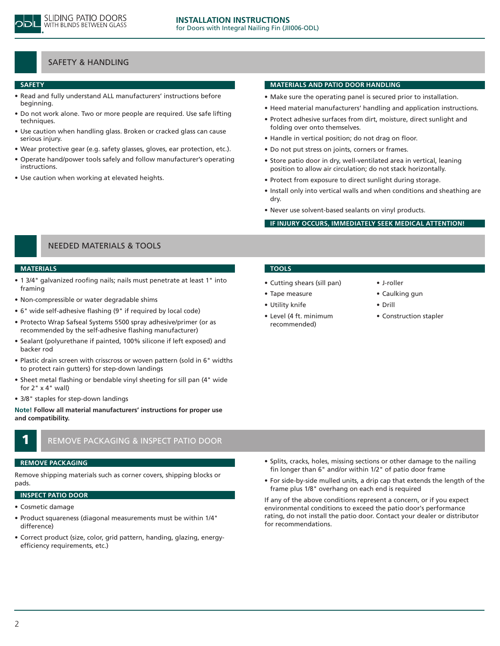

## Safety & handling

#### **safety**

- Read and fully understand ALL manufacturers' instructions before beginning.
- Do not work alone. Two or more people are required. Use safe lifting techniques.
- Use caution when handling glass. Broken or cracked glass can cause serious injury.
- Wear protective gear (e.g. safety glasses, gloves, ear protection, etc.).
- Operate hand/power tools safely and follow manufacturer's operating instructions.
- Use caution when working at elevated heights.

#### **MATERIALS AND PATIO DOOR HANDLING**

- Make sure the operating panel is secured prior to installation.
- Heed material manufacturers' handling and application instructions.
- Protect adhesive surfaces from dirt, moisture, direct sunlight and folding over onto themselves.
- Handle in vertical position; do not drag on floor.
- Do not put stress on joints, corners or frames.
- Store patio door in dry, well-ventilated area in vertical, leaning position to allow air circulation; do not stack horizontally.
- Protect from exposure to direct sunlight during storage.
- • Install only into vertical walls and when conditions and sheathing are dry.
- • Never use solvent-based sealants on vinyl products.

#### **If injury occurs, immediately seek medical attention!**

## Needed Materials & tools

#### **Materials**

- 1 3/4" galvanized roofing nails; nails must penetrate at least 1" into framing
- • Non-compressible or water degradable shims
- 6" wide self-adhesive flashing (9" if required by local code)
- Protecto Wrap Safseal Systems 5500 spray adhesive/primer (or as recommended by the self-adhesive flashing manufacturer)
- • Sealant (polyurethane if painted, 100% silicone if left exposed) and backer rod
- Plastic drain screen with crisscross or woven pattern (sold in 6" widths to protect rain gutters) for step-down landings
- Sheet metal flashing or bendable vinyl sheeting for sill pan (4" wide for 2" x 4" wall)
- 3/8" staples for step-down landings

**Note! Follow all material manufacturers' instructions for proper use and compatibility.**



## REMOVE PACKAGING & INSPECT PATIO DOOR

#### **remove packaging**

Remove shipping materials such as corner covers, shipping blocks or pads.

#### **Inspect PATIO DOOR**

- • Cosmetic damage
- • Product squareness (diagonal measurements must be within 1/4" difference)
- Correct product (size, color, grid pattern, handing, glazing, energyefficiency requirements, etc.)

## **Tools**

- • Cutting shears (sill pan)
- • Tape measure
- • Utility knife
- • Level (4 ft. minimum recommended)
- • J-roller
- Caulking gun
- • Drill
- Construction stapler

- Splits, cracks, holes, missing sections or other damage to the nailing fin longer than 6" and/or within 1/2" of patio door frame
- For side-by-side mulled units, a drip cap that extends the length of the frame plus 1/8" overhang on each end is required

If any of the above conditions represent a concern, or if you expect environmental conditions to exceed the patio door's performance rating, do not install the patio door. Contact your dealer or distributor for recommendations.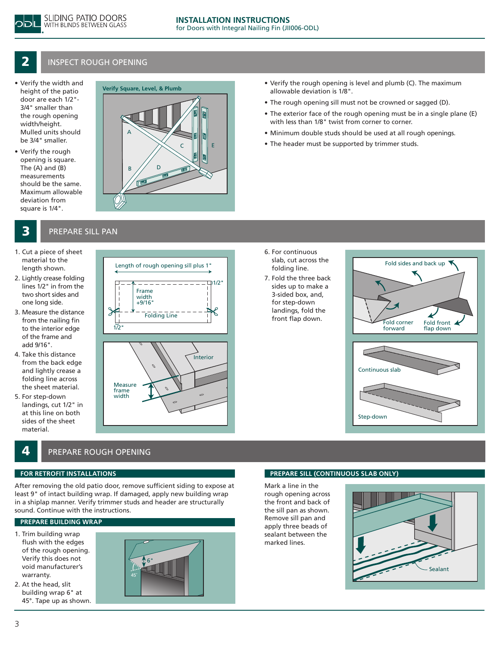

## **2** INSPECT ROUGH OPENING

- • Verify the width and height of the patio door are each 1/2"- 3/4" smaller than the rough opening width/height. Mulled units should be 3/4" smaller.
- • Verify the rough opening is square. The (A) and (B) measurements should be the same. Maximum allowable deviation from square is 1/4".

## A B  $//$  D C || ||| || E

## **3** PREPARE SILL PAN

- 1. Cut a piece of sheet material to the length shown.
- 2. Lightly crease folding lines 1/2" in from the two short sides and one long side.
- 3. Measure the distance from the nailing fin to the interior edge of the frame and add 9/16".
- 4. Take this distance from the back edge and lightly crease a folding line across the sheet material.
- 5. For step-down landings, cut 1/2" in at this line on both sides of the sheet material.



- **Verify the rough opening is level and plumb (C). The maximum**<br>Verify Square, Level, & Plumb **allowshe dovintion is 1/0** " allowable deviation is 1/8".
	- The rough opening sill must not be crowned or sagged (D).
	- The exterior face of the rough opening must be in a single plane (E) with less than 1/8" twist from corner to corner.
	- Minimum double studs should be used at all rough openings.
	- The header must be supported by trimmer studs.

- 6. For continuous slab, cut across the folding line.
- 7. Fold the three back sides up to make a 3-sided box, and, for step-down landings, fold the front flap down.



## PREPARE ROUGH OPENING

#### **FOR RETROFIT INSTALLATIONS**

After removing the old patio door, remove sufficient siding to expose at least 9" of intact building wrap. If damaged, apply new building wrap in a shiplap manner. Verify trimmer studs and header are structurally sound. Continue with the instructions.

#### **PREPARE BUILDING WRAP**

- 1. Trim building wrap flush with the edges of the rough opening. Verify this does not void manufacturer's warranty.
- 2. At the head, slit building wrap 6" at 45°. Tape up as shown.



## **PREPARE SILL (CONTINUOUS SLAB ONLY)**

Mark a line in the rough opening across the front and back of the sill pan as shown. Remove sill pan and apply three beads of sealant between the marked lines.

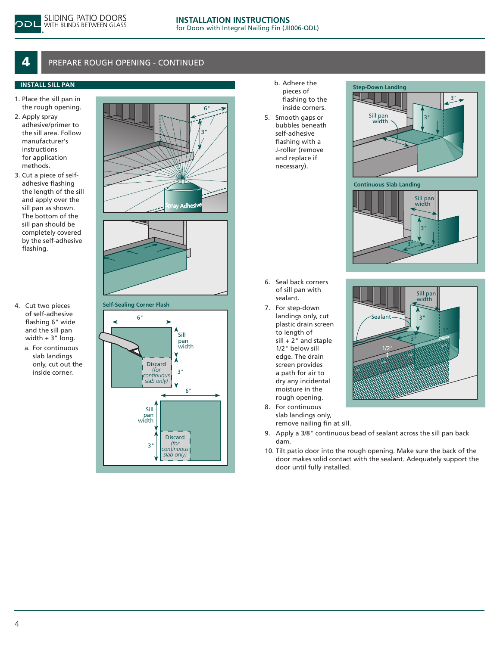## PREPARE ROUGH OPENING - CONTINUED

#### **INSTALL SILL PAN**

- 1. Place the sill pan in the rough opening.
- 2. Apply spray adhesive/primer to the sill area. Follow manufacturer's instructions for application methods.
- 3. Cut a piece of selfadhesive flashing the length of the sill and apply over the sill pan as shown. The bottom of the sill pan should be completely covered by the self-adhesive flashing.
- 4. Cut two pieces of self-adhesive flashing 6" wide and the sill pan width + 3" long.
	- a. For continuous slab landings only, cut out the inside corner.



**Self-Sealing Corner Flash**



b. Adhere the pieces of flashing to the inside corners. 5. Smooth gaps or bubbles beneath self-adhesive flashing with a J-roller (remove and replace if necessary).







Sill pan width

- 6. Seal back corners of sill pan with sealant.
- 7. For step-down landings only, cut plastic drain screen to length of  $sill + 2"$  and staple 1/2" below sill edge. The drain screen provides a path for air to dry any incidental moisture in the rough opening.
- 3" 3" Sealant  $1/2$ "
- 8. For continuous slab landings only, remove nailing fin at sill.
- 9. Apply a 3/8" continuous bead of sealant across the sill pan back dam.
- 10. Tilt patio door into the rough opening. Make sure the back of the door makes solid contact with the sealant. Adequately support the door until fully installed.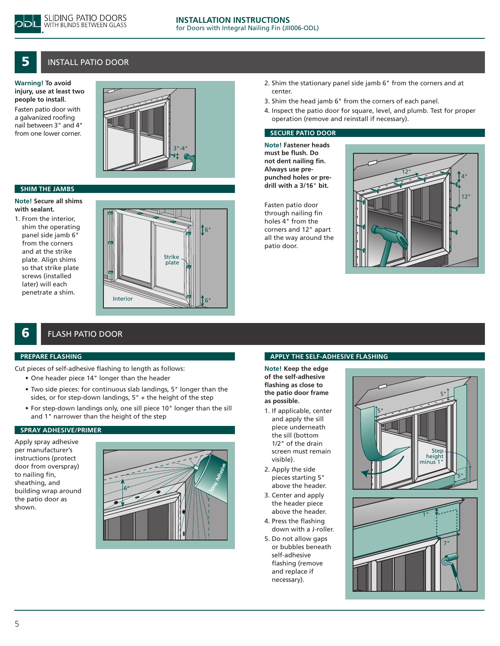

5

## Install PATIO DOOR

**Warning! To avoid injury, use at least two people to install.** Fasten patio door with a galvanized roofing nail between 3" and 4" from one lower corner.



#### **SHIM THE JAMBS**

**Note! Secure all shims with sealant.**

1. From the interior, shim the operating panel side jamb 6" from the corners and at the strike plate. Align shims so that strike plate screws (installed later) will each penetrate a shim.



- 2. Shim the stationary panel side jamb 6" from the corners and at center.
- 3. Shim the head jamb 6" from the corners of each panel.
- 4. Inspect the patio door for square, level, and plumb. Test for proper operation (remove and reinstall if necessary).

#### **SECURE PATIO DOOR**

**Note! Fastener heads must be flush. Do not dent nailing fin. Always use prepunched holes or predrill with a 3/16**" **bit.**

Fasten patio door through nailing fin holes 4" from the corners and 12" apart all the way around the patio door.



## FLASH PATIO DOOR

#### **PREPARE FLASHING**

6

Cut pieces of self-adhesive flashing to length as follows:

- • One header piece 14" longer than the header
- Two side pieces: for continuous slab landings, 5" longer than the sides, or for step-down landings, 5" + the height of the step
- For step-down landings only, one sill piece 10" longer than the sill and 1" narrower than the height of the step

#### **SPRAY ADHESIVE/PRIMER**

Apply spray adhesive per manufacturer's instructions (protect door from overspray) to nailing fin, sheathing, and building wrap around the patio door as shown.



#### **APPLY THE SELF-ADHESIVE FLASHING**

**Note! Keep the edge of the self-adhesive flashing as close to the patio door frame as possible.**

- 1. If applicable, center and apply the sill piece underneath the sill (bottom 1/2" of the drain screen must remain visible).
- 2. Apply the side pieces starting 5" above the header.
- 3. Center and apply the header piece above the header.
- 4. Press the flashing down with a J-roller.
- 5. Do not allow gaps or bubbles beneath self-adhesive flashing (remove and replace if necessary).

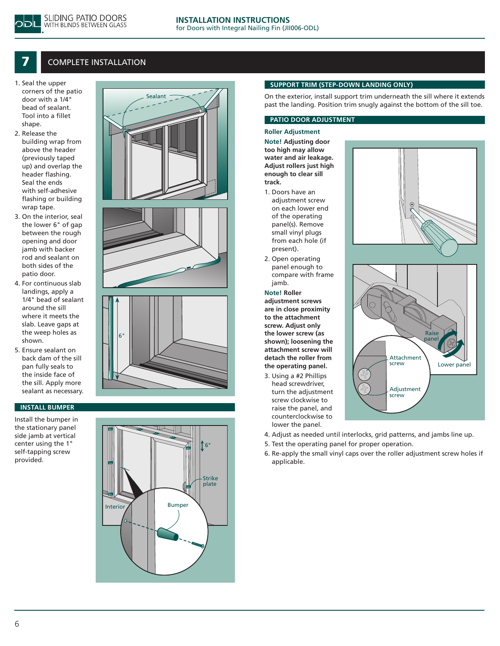## **COMPLETE INSTALLATION**

SLIDING PATIO DOORS WITH BLINDS BETWEEN GLASS

- 1. Seal the upper corners of the patio door with a 1/4" bead of sealant. Tool into a fillet shape.
- 2. Release the building wrap from above the header (previously taped up) and overlap the header flashing. Seal the ends with self-adhesive flashing or building wrap tape.
- 3. On the interior, seal the lower 6" of gap between the rough opening and door jamb with backer rod and sealant on both sides of the patio door.
- 4. For continuous slab landings, apply a 1/4" bead of sealant around the sill where it meets the slab. Leave gaps at the weep holes as shown.
- 5. Ensure sealant on back dam of the sill pan fully seals to the inside face of the sill. Apply more sealant as necessary.

#### **INSTALL BUMPER**

Install the bumper in the stationary panel side jamb at vertical center using the 1" self-tapping screw provided.







# 16 Strike plate Interior | Bumper

#### **SUPPORT TRIM (STEP-DOWN LANDING ONLY)**

On the exterior, install support trim underneath the sill where it extends past the landing. Position trim snugly against the bottom of the sill toe.

#### **PATIO DOOR ADJUSTMENT**

#### **Roller Adjustment**

**Note! Adjusting door too high may allow water and air leakage. Adjust rollers just high enough to clear sill track.** 

- 1. Doors have an adjustment screw on each lower end of the operating panel(s). Remove small vinyl plugs from each hole (if present).
- 2. Open operating panel enough to compare with frame jamb.

#### **Note! Roller**

**adjustment screws are in close proximity to the attachment screw. Adjust only the lower screw (as shown); loosening the attachment screw will detach the roller from the operating panel.**

3. Using a #2 Phillips head screwdriver, turn the adjustment screw clockwise to raise the panel, and counterclockwise to lower the panel.





- 4. Adjust as needed until interlocks, grid patterns, and jambs line up.
- 5. Test the operating panel for proper operation.
- 6. Re-apply the small vinyl caps over the roller adjustment screw holes if applicable.